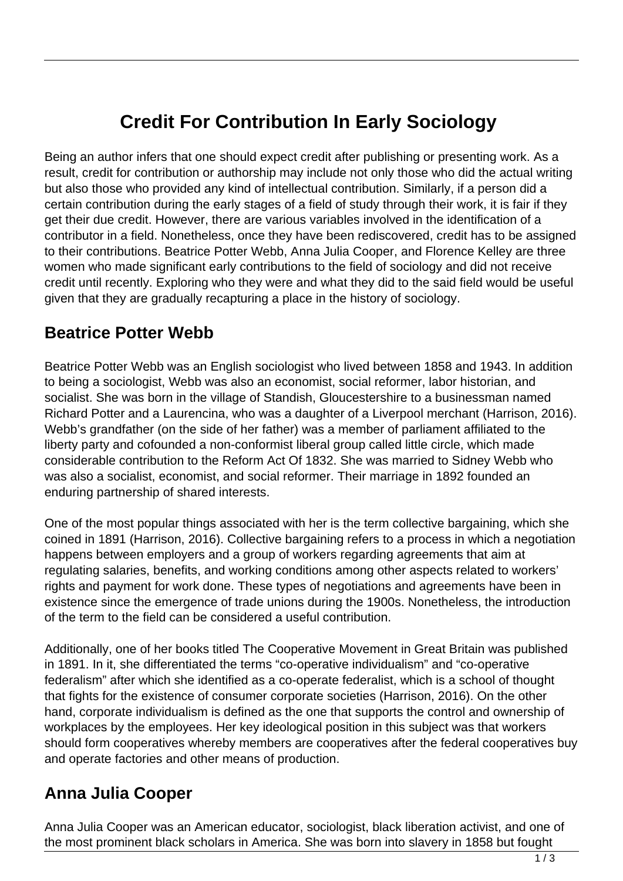# **Credit For Contribution In Early Sociology**

Being an author infers that one should expect credit after publishing or presenting work. As a result, credit for contribution or authorship may include not only those who did the actual writing but also those who provided any kind of intellectual contribution. Similarly, if a person did a certain contribution during the early stages of a field of study through their work, it is fair if they get their due credit. However, there are various variables involved in the identification of a contributor in a field. Nonetheless, once they have been rediscovered, credit has to be assigned to their contributions. Beatrice Potter Webb, Anna Julia Cooper, and Florence Kelley are three women who made significant early contributions to the field of sociology and did not receive credit until recently. Exploring who they were and what they did to the said field would be useful given that they are gradually recapturing a place in the history of sociology.

### **Beatrice Potter Webb**

Beatrice Potter Webb was an English sociologist who lived between 1858 and 1943. In addition to being a sociologist, Webb was also an economist, social reformer, labor historian, and socialist. She was born in the village of Standish, Gloucestershire to a businessman named Richard Potter and a Laurencina, who was a daughter of a Liverpool merchant (Harrison, 2016). Webb's grandfather (on the side of her father) was a member of parliament affiliated to the liberty party and cofounded a non-conformist liberal group called little circle, which made considerable contribution to the Reform Act Of 1832. She was married to Sidney Webb who was also a socialist, economist, and social reformer. Their marriage in 1892 founded an enduring partnership of shared interests.

One of the most popular things associated with her is the term collective bargaining, which she coined in 1891 (Harrison, 2016). Collective bargaining refers to a process in which a negotiation happens between employers and a group of workers regarding agreements that aim at regulating salaries, benefits, and working conditions among other aspects related to workers' rights and payment for work done. These types of negotiations and agreements have been in existence since the emergence of trade unions during the 1900s. Nonetheless, the introduction of the term to the field can be considered a useful contribution.

Additionally, one of her books titled The Cooperative Movement in Great Britain was published in 1891. In it, she differentiated the terms "co-operative individualism" and "co-operative federalism" after which she identified as a co-operate federalist, which is a school of thought that fights for the existence of consumer corporate societies (Harrison, 2016). On the other hand, corporate individualism is defined as the one that supports the control and ownership of workplaces by the employees. Her key ideological position in this subject was that workers should form cooperatives whereby members are cooperatives after the federal cooperatives buy and operate factories and other means of production.

## **Anna Julia Cooper**

Anna Julia Cooper was an American educator, sociologist, black liberation activist, and one of the most prominent black scholars in America. She was born into slavery in 1858 but fought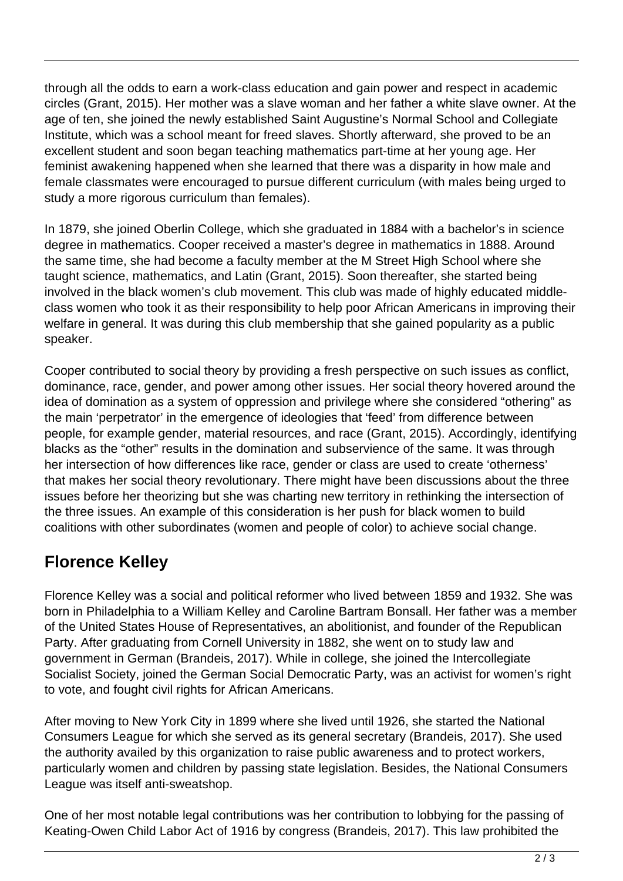through all the odds to earn a work-class education and gain power and respect in academic circles (Grant, 2015). Her mother was a slave woman and her father a white slave owner. At the age of ten, she joined the newly established Saint Augustine's Normal School and Collegiate Institute, which was a school meant for freed slaves. Shortly afterward, she proved to be an excellent student and soon began teaching mathematics part-time at her young age. Her feminist awakening happened when she learned that there was a disparity in how male and female classmates were encouraged to pursue different curriculum (with males being urged to study a more rigorous curriculum than females).

In 1879, she joined Oberlin College, which she graduated in 1884 with a bachelor's in science degree in mathematics. Cooper received a master's degree in mathematics in 1888. Around the same time, she had become a faculty member at the M Street High School where she taught science, mathematics, and Latin (Grant, 2015). Soon thereafter, she started being involved in the black women's club movement. This club was made of highly educated middleclass women who took it as their responsibility to help poor African Americans in improving their welfare in general. It was during this club membership that she gained popularity as a public speaker.

Cooper contributed to social theory by providing a fresh perspective on such issues as conflict, dominance, race, gender, and power among other issues. Her social theory hovered around the idea of domination as a system of oppression and privilege where she considered "othering" as the main 'perpetrator' in the emergence of ideologies that 'feed' from difference between people, for example gender, material resources, and race (Grant, 2015). Accordingly, identifying blacks as the "other" results in the domination and subservience of the same. It was through her intersection of how differences like race, gender or class are used to create 'otherness' that makes her social theory revolutionary. There might have been discussions about the three issues before her theorizing but she was charting new territory in rethinking the intersection of the three issues. An example of this consideration is her push for black women to build coalitions with other subordinates (women and people of color) to achieve social change.

## **Florence Kelley**

Florence Kelley was a social and political reformer who lived between 1859 and 1932. She was born in Philadelphia to a William Kelley and Caroline Bartram Bonsall. Her father was a member of the United States House of Representatives, an abolitionist, and founder of the Republican Party. After graduating from Cornell University in 1882, she went on to study law and government in German (Brandeis, 2017). While in college, she joined the Intercollegiate Socialist Society, joined the German Social Democratic Party, was an activist for women's right to vote, and fought civil rights for African Americans.

After moving to New York City in 1899 where she lived until 1926, she started the National Consumers League for which she served as its general secretary (Brandeis, 2017). She used the authority availed by this organization to raise public awareness and to protect workers, particularly women and children by passing state legislation. Besides, the National Consumers League was itself anti-sweatshop.

One of her most notable legal contributions was her contribution to lobbying for the passing of Keating-Owen Child Labor Act of 1916 by congress (Brandeis, 2017). This law prohibited the